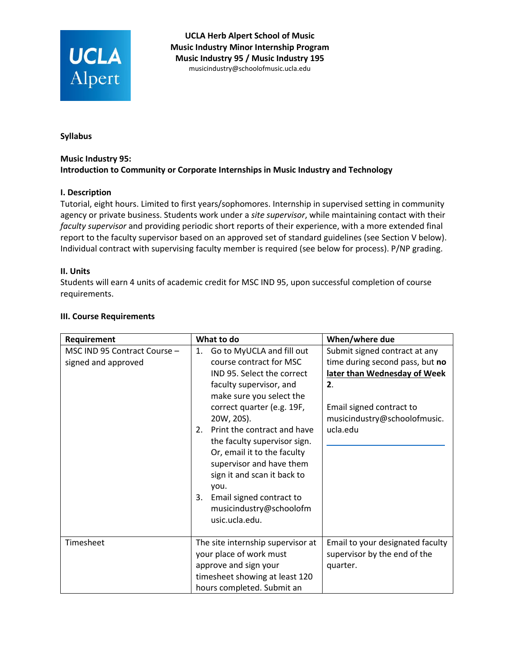

**UCLA Herb Alpert School of Music Music Industry Minor Internship Program Music Industry 95 / Music Industry 195**  mu[sicindustry@schoolofmusic.ucla.e](mailto:espitz@schoolofmusic.ucla.edu)du

**Syllabus**

### **Music Industry 95: Introduction to Community or Corporate Internships in Music Industry and Technology**

### **I. Description**

Tutorial, eight hours. Limited to first years/sophomores. Internship in supervised setting in community agency or private business. Students work under a *site supervisor*, while maintaining contact with their *faculty supervisor* and providing periodic short reports of their experience, with a more extended final report to the faculty supervisor based on an approved set of standard guidelines (see Section V below). Individual contract with supervising faculty member is required (see below for process). P/NP grading.

#### **II. Units**

Students will earn 4 units of academic credit for MSC IND 95, upon successful completion of course requirements.

|  | <b>III. Course Requirements</b> |
|--|---------------------------------|
|--|---------------------------------|

| Requirement                                         | What to do                                                                                                                                                                                                                                                                                                                                                                                                                                        | When/where due                                                                                                                                                                 |
|-----------------------------------------------------|---------------------------------------------------------------------------------------------------------------------------------------------------------------------------------------------------------------------------------------------------------------------------------------------------------------------------------------------------------------------------------------------------------------------------------------------------|--------------------------------------------------------------------------------------------------------------------------------------------------------------------------------|
| MSC IND 95 Contract Course -<br>signed and approved | Go to MyUCLA and fill out<br>1.<br>course contract for MSC<br>IND 95. Select the correct<br>faculty supervisor, and<br>make sure you select the<br>correct quarter (e.g. 19F,<br>20W, 20S).<br>Print the contract and have<br>2.<br>the faculty supervisor sign.<br>Or, email it to the faculty<br>supervisor and have them<br>sign it and scan it back to<br>vou.<br>Email signed contract to<br>3.<br>musicindustry@schoolofm<br>usic.ucla.edu. | Submit signed contract at any<br>time during second pass, but no<br>later than Wednesday of Week<br>2.<br>Email signed contract to<br>musicindustry@schoolofmusic.<br>ucla.edu |
| Timesheet                                           | The site internship supervisor at<br>your place of work must<br>approve and sign your<br>timesheet showing at least 120<br>hours completed. Submit an                                                                                                                                                                                                                                                                                             | Email to your designated faculty<br>supervisor by the end of the<br>quarter.                                                                                                   |